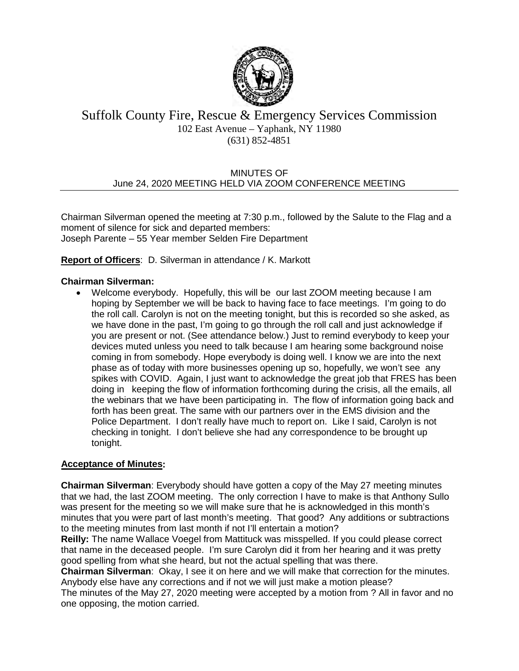

## Suffolk County Fire, Rescue & Emergency Services Commission 102 East Avenue – Yaphank, NY 11980 (631) 852-4851

#### MINUTES OF June 24, 2020 MEETING HELD VIA ZOOM CONFERENCE MEETING

Chairman Silverman opened the meeting at 7:30 p.m., followed by the Salute to the Flag and a moment of silence for sick and departed members: Joseph Parente – 55 Year member Selden Fire Department

#### **Report of Officers**: D. Silverman in attendance / K. Markott

#### **Chairman Silverman:**

• Welcome everybody. Hopefully, this will be our last ZOOM meeting because I am hoping by September we will be back to having face to face meetings. I'm going to do the roll call. Carolyn is not on the meeting tonight, but this is recorded so she asked, as we have done in the past, I'm going to go through the roll call and just acknowledge if you are present or not. (See attendance below.) Just to remind everybody to keep your devices muted unless you need to talk because I am hearing some background noise coming in from somebody. Hope everybody is doing well. I know we are into the next phase as of today with more businesses opening up so, hopefully, we won't see any spikes with COVID. Again, I just want to acknowledge the great job that FRES has been doing in keeping the flow of information forthcoming during the crisis, all the emails, all the webinars that we have been participating in. The flow of information going back and forth has been great. The same with our partners over in the EMS division and the Police Department. I don't really have much to report on. Like I said, Carolyn is not checking in tonight. I don't believe she had any correspondence to be brought up tonight.

#### **Acceptance of Minutes:**

**Chairman Silverman**: Everybody should have gotten a copy of the May 27 meeting minutes that we had, the last ZOOM meeting. The only correction I have to make is that Anthony Sullo was present for the meeting so we will make sure that he is acknowledged in this month's minutes that you were part of last month's meeting. That good? Any additions or subtractions to the meeting minutes from last month if not I'll entertain a motion?

**Reilly:** The name Wallace Voegel from Mattituck was misspelled. If you could please correct that name in the deceased people. I'm sure Carolyn did it from her hearing and it was pretty good spelling from what she heard, but not the actual spelling that was there.

**Chairman Silverman**: Okay, I see it on here and we will make that correction for the minutes. Anybody else have any corrections and if not we will just make a motion please?

The minutes of the May 27, 2020 meeting were accepted by a motion from ? All in favor and no one opposing, the motion carried.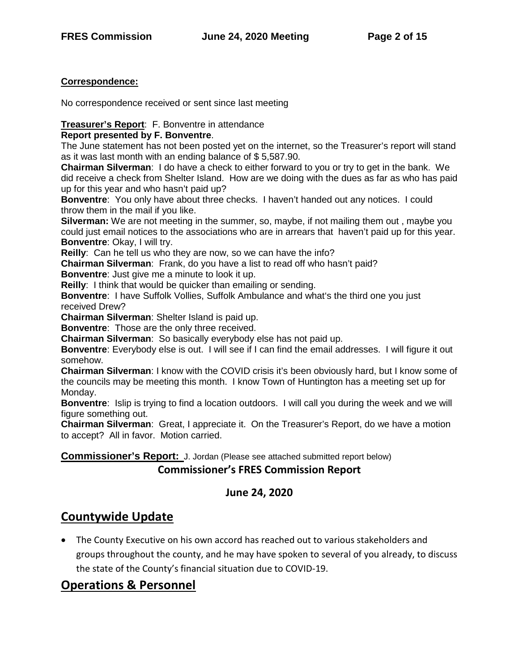## **Correspondence:**

No correspondence received or sent since last meeting

## **Treasurer's Report**: F. Bonventre in attendance

## **Report presented by F. Bonventre**.

The June statement has not been posted yet on the internet, so the Treasurer's report will stand as it was last month with an ending balance of \$ 5,587.90.

**Chairman Silverman**: I do have a check to either forward to you or try to get in the bank. We did receive a check from Shelter Island. How are we doing with the dues as far as who has paid up for this year and who hasn't paid up?

**Bonventre**: You only have about three checks. I haven't handed out any notices. I could throw them in the mail if you like.

**Silverman:** We are not meeting in the summer, so, maybe, if not mailing them out , maybe you could just email notices to the associations who are in arrears that haven't paid up for this year. **Bonventre**: Okay, I will try.

**Reilly**: Can he tell us who they are now, so we can have the info?

**Chairman Silverman**: Frank, do you have a list to read off who hasn't paid?

**Bonventre**: Just give me a minute to look it up.

**Reilly**: I think that would be quicker than emailing or sending.

**Bonventre**: I have Suffolk Vollies, Suffolk Ambulance and what's the third one you just received Drew?

**Chairman Silverman**: Shelter Island is paid up.

**Bonventre**: Those are the only three received.

**Chairman Silverman**: So basically everybody else has not paid up.

**Bonventre**: Everybody else is out. I will see if I can find the email addresses. I will figure it out somehow.

**Chairman Silverman**: I know with the COVID crisis it's been obviously hard, but I know some of the councils may be meeting this month. I know Town of Huntington has a meeting set up for Monday.

**Bonventre**: Islip is trying to find a location outdoors. I will call you during the week and we will figure something out.

**Chairman Silverman**: Great, I appreciate it. On the Treasurer's Report, do we have a motion to accept? All in favor. Motion carried.

**Commissioner's Report:** J. Jordan (Please see attached submitted report below)

## **Commissioner's FRES Commission Report**

# **June 24, 2020**

# **Countywide Update**

• The County Executive on his own accord has reached out to various stakeholders and groups throughout the county, and he may have spoken to several of you already, to discuss the state of the County's financial situation due to COVID-19.

# **Operations & Personnel**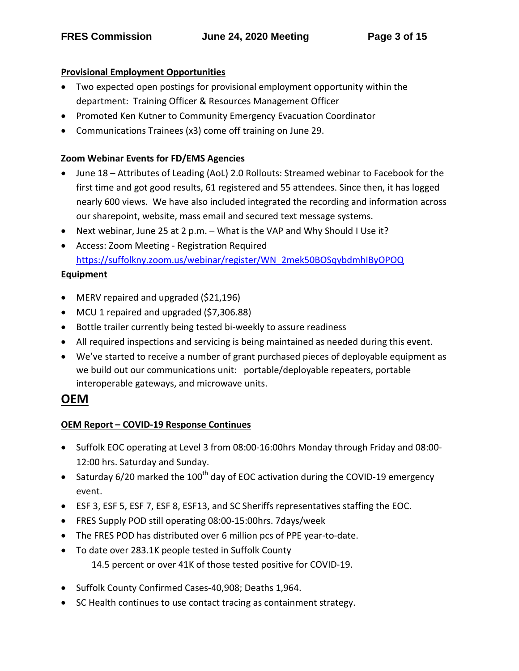## **Provisional Employment Opportunities**

- Two expected open postings for provisional employment opportunity within the department: Training Officer & Resources Management Officer
- Promoted Ken Kutner to Community Emergency Evacuation Coordinator
- Communications Trainees (x3) come off training on June 29.

# **Zoom Webinar Events for FD/EMS Agencies**

- June 18 Attributes of Leading (AoL) 2.0 Rollouts: Streamed webinar to Facebook for the first time and got good results, 61 registered and 55 attendees. Since then, it has logged nearly 600 views. We have also included integrated the recording and information across our sharepoint, website, mass email and secured text message systems.
- Next webinar, June 25 at 2 p.m. What is the VAP and Why Should I Use it?
- Access: Zoom Meeting Registration Required [https://suffolkny.zoom.us/webinar/register/WN\\_2mek50BOSqybdmhIByOPOQ](https://suffolkny.zoom.us/webinar/register/WN_2mek50BOSqybdmhIByOPOQ)

## **Equipment**

- MERV repaired and upgraded (\$21,196)
- MCU 1 repaired and upgraded (\$7,306.88)
- Bottle trailer currently being tested bi-weekly to assure readiness
- All required inspections and servicing is being maintained as needed during this event.
- We've started to receive a number of grant purchased pieces of deployable equipment as we build out our communications unit: portable/deployable repeaters, portable interoperable gateways, and microwave units.

# **OEM**

## **OEM Report – COVID-19 Response Continues**

- Suffolk EOC operating at Level 3 from 08:00-16:00hrs Monday through Friday and 08:00- 12:00 hrs. Saturday and Sunday.
- Saturday 6/20 marked the 100<sup>th</sup> day of EOC activation during the COVID-19 emergency event.
- ESF 3, ESF 5, ESF 7, ESF 8, ESF13, and SC Sheriffs representatives staffing the EOC.
- FRES Supply POD still operating 08:00-15:00hrs. 7days/week
- The FRES POD has distributed over 6 million pcs of PPE year-to-date.
- To date over 283.1K people tested in Suffolk County 14.5 percent or over 41K of those tested positive for COVID-19.
- Suffolk County Confirmed Cases-40,908; Deaths 1,964.
- SC Health continues to use contact tracing as containment strategy.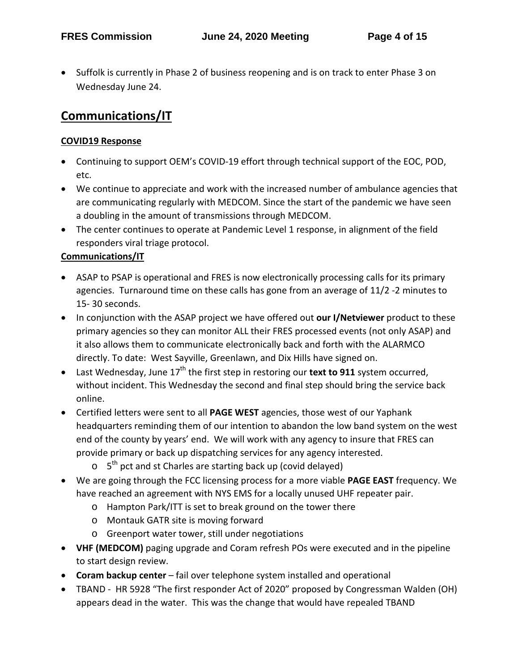• Suffolk is currently in Phase 2 of business reopening and is on track to enter Phase 3 on Wednesday June 24.

# **Communications/IT**

## **COVID19 Response**

- Continuing to support OEM's COVID-19 effort through technical support of the EOC, POD, etc.
- We continue to appreciate and work with the increased number of ambulance agencies that are communicating regularly with MEDCOM. Since the start of the pandemic we have seen a doubling in the amount of transmissions through MEDCOM.
- The center continues to operate at Pandemic Level 1 response, in alignment of the field responders viral triage protocol.

## **Communications/IT**

- ASAP to PSAP is operational and FRES is now electronically processing calls for its primary agencies. Turnaround time on these calls has gone from an average of 11/2 -2 minutes to 15- 30 seconds.
- In conjunction with the ASAP project we have offered out **our I/Netviewer** product to these primary agencies so they can monitor ALL their FRES processed events (not only ASAP) and it also allows them to communicate electronically back and forth with the ALARMCO directly. To date: West Sayville, Greenlawn, and Dix Hills have signed on.
- Last Wednesday, June 17<sup>th</sup> the first step in restoring our **text to 911** system occurred, without incident. This Wednesday the second and final step should bring the service back online.
- Certified letters were sent to all **PAGE WEST** agencies, those west of our Yaphank headquarters reminding them of our intention to abandon the low band system on the west end of the county by years' end. We will work with any agency to insure that FRES can provide primary or back up dispatching services for any agency interested.
	- $\circ$  5<sup>th</sup> pct and st Charles are starting back up (covid delayed)
- We are going through the FCC licensing process for a more viable **PAGE EAST** frequency. We have reached an agreement with NYS EMS for a locally unused UHF repeater pair.
	- o Hampton Park/ITT is set to break ground on the tower there
	- o Montauk GATR site is moving forward
	- o Greenport water tower, still under negotiations
- **VHF (MEDCOM)** paging upgrade and Coram refresh POs were executed and in the pipeline to start design review.
- **Coram backup center** fail over telephone system installed and operational
- TBAND HR 5928 "The first responder Act of 2020" proposed by Congressman Walden (OH) appears dead in the water. This was the change that would have repealed TBAND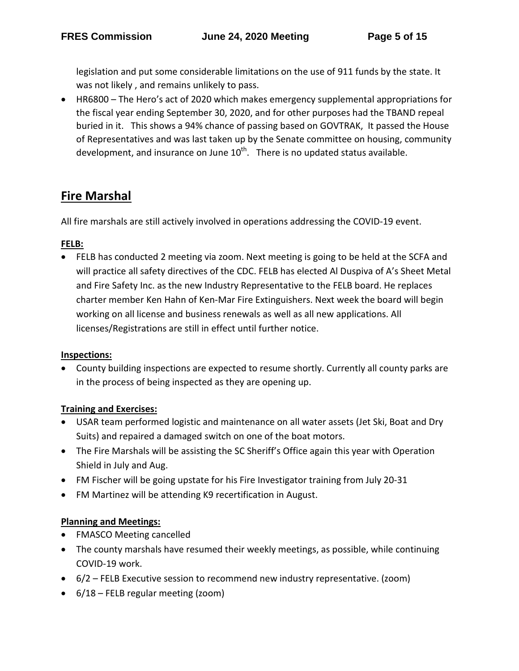legislation and put some considerable limitations on the use of 911 funds by the state. It was not likely , and remains unlikely to pass.

• HR6800 – The Hero's act of 2020 which makes emergency supplemental appropriations for the fiscal year ending September 30, 2020, and for other purposes had the TBAND repeal buried in it. This shows a 94% chance of passing based on GOVTRAK, It passed the House of Representatives and was last taken up by the Senate committee on housing, community development, and insurance on June  $10^{th}$ . There is no updated status available.

# **Fire Marshal**

All fire marshals are still actively involved in operations addressing the COVID-19 event.

## **FELB:**

• FELB has conducted 2 meeting via zoom. Next meeting is going to be held at the SCFA and will practice all safety directives of the CDC. FELB has elected Al Duspiva of A's Sheet Metal and Fire Safety Inc. as the new Industry Representative to the FELB board. He replaces charter member Ken Hahn of Ken-Mar Fire Extinguishers. Next week the board will begin working on all license and business renewals as well as all new applications. All licenses/Registrations are still in effect until further notice.

## **Inspections:**

• County building inspections are expected to resume shortly. Currently all county parks are in the process of being inspected as they are opening up.

## **Training and Exercises:**

- USAR team performed logistic and maintenance on all water assets (Jet Ski, Boat and Dry Suits) and repaired a damaged switch on one of the boat motors.
- The Fire Marshals will be assisting the SC Sheriff's Office again this year with Operation Shield in July and Aug.
- FM Fischer will be going upstate for his Fire Investigator training from July 20-31
- FM Martinez will be attending K9 recertification in August.

## **Planning and Meetings:**

- FMASCO Meeting cancelled
- The county marshals have resumed their weekly meetings, as possible, while continuing COVID-19 work.
- 6/2 FELB Executive session to recommend new industry representative. (zoom)
- 6/18 FELB regular meeting (zoom)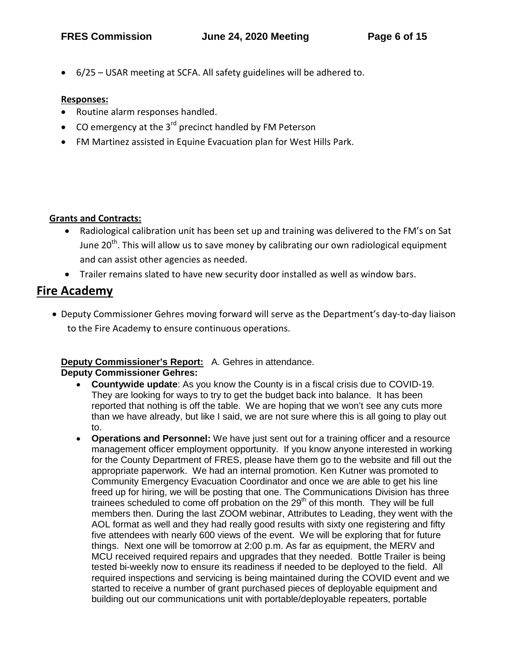• 6/25 – USAR meeting at SCFA. All safety guidelines will be adhered to.

#### **Responses:**

- Routine alarm responses handled.
- CO emergency at the  $3^{rd}$  precinct handled by FM Peterson
- FM Martinez assisted in Equine Evacuation plan for West Hills Park.

## **Grants and Contracts:**

- Radiological calibration unit has been set up and training was delivered to the FM's on Sat June  $20<sup>th</sup>$ . This will allow us to save money by calibrating our own radiological equipment and can assist other agencies as needed.
- Trailer remains slated to have new security door installed as well as window bars.

# **Fire Academy**

• Deputy Commissioner Gehres moving forward will serve as the Department's day-to-day liaison to the Fire Academy to ensure continuous operations.

## **Deputy Commissioner's Report:** A. Gehres in attendance.

**Deputy Commissioner Gehres:** 

- **Countywide update**: As you know the County is in a fiscal crisis due to COVID-19. They are looking for ways to try to get the budget back into balance. It has been reported that nothing is off the table. We are hoping that we won't see any cuts more than we have already, but like I said, we are not sure where this is all going to play out to.
- **Operations and Personnel:** We have just sent out for a training officer and a resource management officer employment opportunity. If you know anyone interested in working for the County Department of FRES, please have them go to the website and fill out the appropriate paperwork. We had an internal promotion. Ken Kutner was promoted to Community Emergency Evacuation Coordinator and once we are able to get his line freed up for hiring, we will be posting that one. The Communications Division has three trainees scheduled to come off probation on the  $29<sup>th</sup>$  of this month. They will be full members then. During the last ZOOM webinar, Attributes to Leading, they went with the AOL format as well and they had really good results with sixty one registering and fifty five attendees with nearly 600 views of the event. We will be exploring that for future things. Next one will be tomorrow at 2:00 p.m. As far as equipment, the MERV and MCU received required repairs and upgrades that they needed. Bottle Trailer is being tested bi-weekly now to ensure its readiness if needed to be deployed to the field. All required inspections and servicing is being maintained during the COVID event and we started to receive a number of grant purchased pieces of deployable equipment and building out our communications unit with portable/deployable repeaters, portable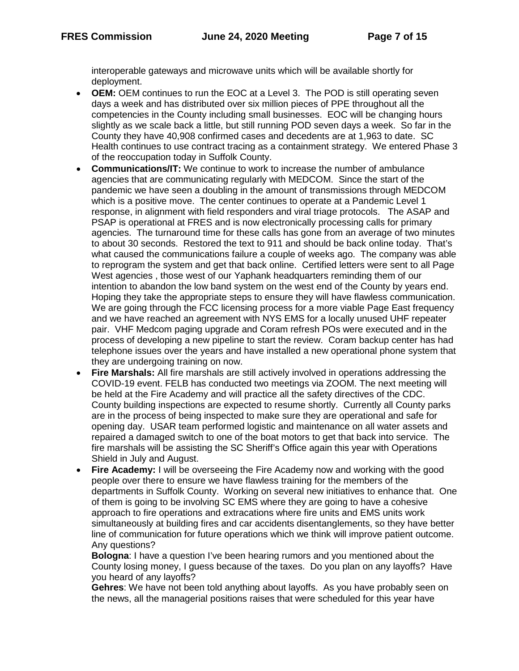interoperable gateways and microwave units which will be available shortly for deployment.

- **OEM:** OEM continues to run the EOC at a Level 3. The POD is still operating seven days a week and has distributed over six million pieces of PPE throughout all the competencies in the County including small businesses. EOC will be changing hours slightly as we scale back a little, but still running POD seven days a week. So far in the County they have 40,908 confirmed cases and decedents are at 1,963 to date. SC Health continues to use contract tracing as a containment strategy. We entered Phase 3 of the reoccupation today in Suffolk County.
- **Communications/IT:** We continue to work to increase the number of ambulance agencies that are communicating regularly with MEDCOM. Since the start of the pandemic we have seen a doubling in the amount of transmissions through MEDCOM which is a positive move. The center continues to operate at a Pandemic Level 1 response, in alignment with field responders and viral triage protocols. The ASAP and PSAP is operational at FRES and is now electronically processing calls for primary agencies. The turnaround time for these calls has gone from an average of two minutes to about 30 seconds. Restored the text to 911 and should be back online today. That's what caused the communications failure a couple of weeks ago. The company was able to reprogram the system and get that back online. Certified letters were sent to all Page West agencies , those west of our Yaphank headquarters reminding them of our intention to abandon the low band system on the west end of the County by years end. Hoping they take the appropriate steps to ensure they will have flawless communication. We are going through the FCC licensing process for a more viable Page East frequency and we have reached an agreement with NYS EMS for a locally unused UHF repeater pair. VHF Medcom paging upgrade and Coram refresh POs were executed and in the process of developing a new pipeline to start the review. Coram backup center has had telephone issues over the years and have installed a new operational phone system that they are undergoing training on now.
- **Fire Marshals:** All fire marshals are still actively involved in operations addressing the COVID-19 event. FELB has conducted two meetings via ZOOM. The next meeting will be held at the Fire Academy and will practice all the safety directives of the CDC. County building inspections are expected to resume shortly. Currently all County parks are in the process of being inspected to make sure they are operational and safe for opening day. USAR team performed logistic and maintenance on all water assets and repaired a damaged switch to one of the boat motors to get that back into service. The fire marshals will be assisting the SC Sheriff's Office again this year with Operations Shield in July and August.
- **Fire Academy:** I will be overseeing the Fire Academy now and working with the good people over there to ensure we have flawless training for the members of the departments in Suffolk County. Working on several new initiatives to enhance that. One of them is going to be involving SC EMS where they are going to have a cohesive approach to fire operations and extracations where fire units and EMS units work simultaneously at building fires and car accidents disentanglements, so they have better line of communication for future operations which we think will improve patient outcome. Any questions?

**Bologna**: I have a question I've been hearing rumors and you mentioned about the County losing money, I guess because of the taxes. Do you plan on any layoffs? Have you heard of any layoffs?

**Gehres**: We have not been told anything about layoffs. As you have probably seen on the news, all the managerial positions raises that were scheduled for this year have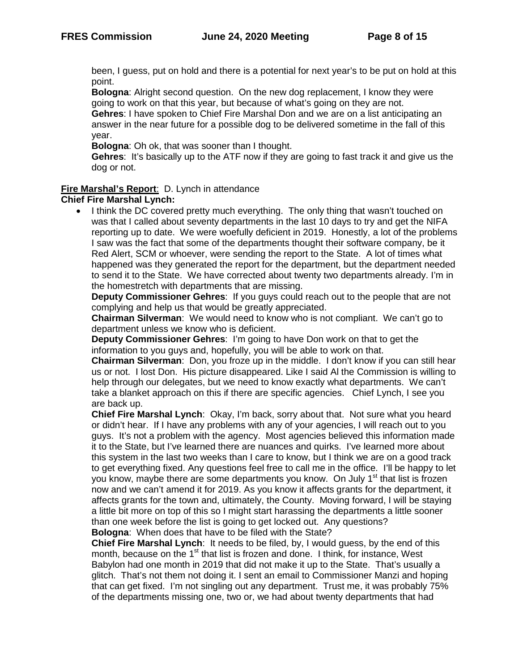been, I guess, put on hold and there is a potential for next year's to be put on hold at this point.

**Bologna**: Alright second question. On the new dog replacement, I know they were going to work on that this year, but because of what's going on they are not.

**Gehres**: I have spoken to Chief Fire Marshal Don and we are on a list anticipating an answer in the near future for a possible dog to be delivered sometime in the fall of this year.

**Bologna**: Oh ok, that was sooner than I thought.

**Gehres**: It's basically up to the ATF now if they are going to fast track it and give us the dog or not.

#### **Fire Marshal's Report**: D. Lynch in attendance

#### **Chief Fire Marshal Lynch:**

• I think the DC covered pretty much everything. The only thing that wasn't touched on was that I called about seventy departments in the last 10 days to try and get the NIFA reporting up to date. We were woefully deficient in 2019. Honestly, a lot of the problems I saw was the fact that some of the departments thought their software company, be it Red Alert, SCM or whoever, were sending the report to the State. A lot of times what happened was they generated the report for the department, but the department needed to send it to the State. We have corrected about twenty two departments already. I'm in the homestretch with departments that are missing.

**Deputy Commissioner Gehres**: If you guys could reach out to the people that are not complying and help us that would be greatly appreciated.

**Chairman Silverman**: We would need to know who is not compliant. We can't go to department unless we know who is deficient.

**Deputy Commissioner Gehres**: I'm going to have Don work on that to get the information to you guys and, hopefully, you will be able to work on that.

**Chairman Silverman**: Don, you froze up in the middle. I don't know if you can still hear us or not. I lost Don. His picture disappeared. Like I said Al the Commission is willing to help through our delegates, but we need to know exactly what departments. We can't take a blanket approach on this if there are specific agencies. Chief Lynch, I see you are back up.

**Chief Fire Marshal Lynch**: Okay, I'm back, sorry about that. Not sure what you heard or didn't hear. If I have any problems with any of your agencies, I will reach out to you guys. It's not a problem with the agency. Most agencies believed this information made it to the State, but I've learned there are nuances and quirks. I've learned more about this system in the last two weeks than I care to know, but I think we are on a good track to get everything fixed. Any questions feel free to call me in the office. I'll be happy to let you know, maybe there are some departments you know. On July 1<sup>st</sup> that list is frozen now and we can't amend it for 2019. As you know it affects grants for the department, it affects grants for the town and, ultimately, the County. Moving forward, I will be staying a little bit more on top of this so I might start harassing the departments a little sooner than one week before the list is going to get locked out. Any questions?

**Bologna**: When does that have to be filed with the State?

**Chief Fire Marshal Lynch**: It needs to be filed, by, I would guess, by the end of this month, because on the  $1<sup>st</sup>$  that list is frozen and done. I think, for instance, West Babylon had one month in 2019 that did not make it up to the State. That's usually a glitch. That's not them not doing it. I sent an email to Commissioner Manzi and hoping that can get fixed. I'm not singling out any department. Trust me, it was probably 75% of the departments missing one, two or, we had about twenty departments that had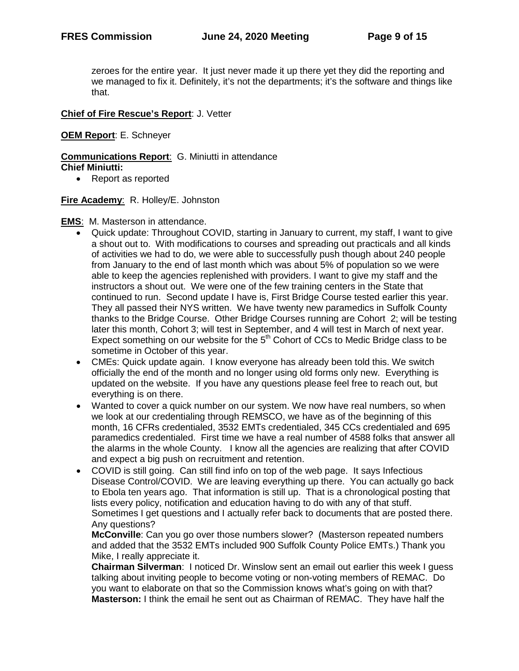zeroes for the entire year. It just never made it up there yet they did the reporting and we managed to fix it. Definitely, it's not the departments; it's the software and things like that.

#### **Chief of Fire Rescue's Report**: J. Vetter

#### **OEM Report**: E. Schneyer

**Communications Report**: G. Miniutti in attendance **Chief Miniutti:**

• Report as reported

#### **Fire Academy**: R. Holley/E. Johnston

- **EMS**: M. Masterson in attendance.
	- Quick update: Throughout COVID, starting in January to current, my staff, I want to give a shout out to. With modifications to courses and spreading out practicals and all kinds of activities we had to do, we were able to successfully push though about 240 people from January to the end of last month which was about 5% of population so we were able to keep the agencies replenished with providers. I want to give my staff and the instructors a shout out. We were one of the few training centers in the State that continued to run. Second update I have is, First Bridge Course tested earlier this year. They all passed their NYS written. We have twenty new paramedics in Suffolk County thanks to the Bridge Course. Other Bridge Courses running are Cohort 2; will be testing later this month, Cohort 3; will test in September, and 4 will test in March of next year. Expect something on our website for the  $5<sup>th</sup>$  Cohort of CCs to Medic Bridge class to be sometime in October of this year.
	- CMEs: Quick update again. I know everyone has already been told this. We switch officially the end of the month and no longer using old forms only new. Everything is updated on the website. If you have any questions please feel free to reach out, but everything is on there.
	- Wanted to cover a quick number on our system. We now have real numbers, so when we look at our credentialing through REMSCO, we have as of the beginning of this month, 16 CFRs credentialed, 3532 EMTs credentialed, 345 CCs credentialed and 695 paramedics credentialed. First time we have a real number of 4588 folks that answer all the alarms in the whole County. I know all the agencies are realizing that after COVID and expect a big push on recruitment and retention.
	- COVID is still going. Can still find info on top of the web page. It says Infectious Disease Control/COVID. We are leaving everything up there. You can actually go back to Ebola ten years ago. That information is still up. That is a chronological posting that lists every policy, notification and education having to do with any of that stuff. Sometimes I get questions and I actually refer back to documents that are posted there. Any questions?

**McConville**: Can you go over those numbers slower? (Masterson repeated numbers and added that the 3532 EMTs included 900 Suffolk County Police EMTs.) Thank you Mike, I really appreciate it.

**Chairman Silverman**: I noticed Dr. Winslow sent an email out earlier this week I guess talking about inviting people to become voting or non-voting members of REMAC. Do you want to elaborate on that so the Commission knows what's going on with that? **Masterson:** I think the email he sent out as Chairman of REMAC. They have half the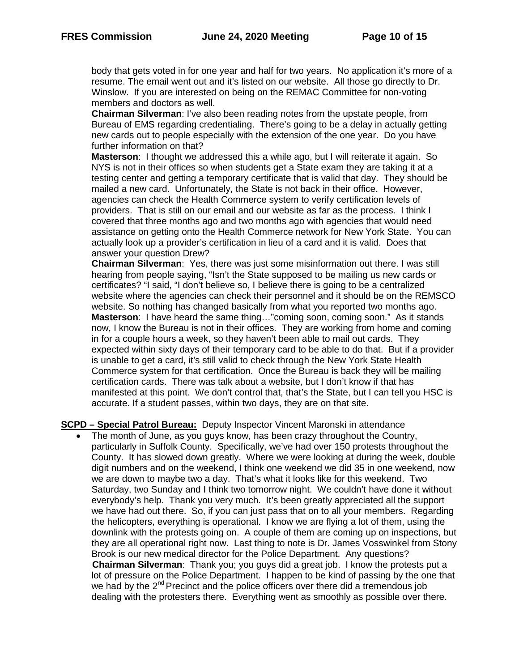body that gets voted in for one year and half for two years. No application it's more of a resume. The email went out and it's listed on our website. All those go directly to Dr. Winslow. If you are interested on being on the REMAC Committee for non-voting members and doctors as well.

**Chairman Silverman**: I've also been reading notes from the upstate people, from Bureau of EMS regarding credentialing. There's going to be a delay in actually getting new cards out to people especially with the extension of the one year. Do you have further information on that?

**Masterson**: I thought we addressed this a while ago, but I will reiterate it again. So NYS is not in their offices so when students get a State exam they are taking it at a testing center and getting a temporary certificate that is valid that day. They should be mailed a new card. Unfortunately, the State is not back in their office. However, agencies can check the Health Commerce system to verify certification levels of providers. That is still on our email and our website as far as the process. I think I covered that three months ago and two months ago with agencies that would need assistance on getting onto the Health Commerce network for New York State. You can actually look up a provider's certification in lieu of a card and it is valid. Does that answer your question Drew?

**Chairman Silverman**: Yes, there was just some misinformation out there. I was still hearing from people saying, "Isn't the State supposed to be mailing us new cards or certificates? "I said, "I don't believe so, I believe there is going to be a centralized website where the agencies can check their personnel and it should be on the REMSCO website. So nothing has changed basically from what you reported two months ago. **Masterson**: I have heard the same thing…"coming soon, coming soon." As it stands now, I know the Bureau is not in their offices. They are working from home and coming in for a couple hours a week, so they haven't been able to mail out cards. They expected within sixty days of their temporary card to be able to do that. But if a provider is unable to get a card, it's still valid to check through the New York State Health Commerce system for that certification. Once the Bureau is back they will be mailing certification cards. There was talk about a website, but I don't know if that has manifested at this point. We don't control that, that's the State, but I can tell you HSC is accurate. If a student passes, within two days, they are on that site.

**SCPD – Special Patrol Bureau:** Deputy Inspector Vincent Maronski in attendance

• The month of June, as you guys know, has been crazy throughout the Country, particularly in Suffolk County. Specifically, we've had over 150 protests throughout the County. It has slowed down greatly. Where we were looking at during the week, double digit numbers and on the weekend, I think one weekend we did 35 in one weekend, now we are down to maybe two a day. That's what it looks like for this weekend. Two Saturday, two Sunday and I think two tomorrow night. We couldn't have done it without everybody's help. Thank you very much. It's been greatly appreciated all the support we have had out there. So, if you can just pass that on to all your members. Regarding the helicopters, everything is operational. I know we are flying a lot of them, using the downlink with the protests going on. A couple of them are coming up on inspections, but they are all operational right now. Last thing to note is Dr. James Vosswinkel from Stony Brook is our new medical director for the Police Department. Any questions? **Chairman Silverman**: Thank you; you guys did a great job. I know the protests put a lot of pressure on the Police Department. I happen to be kind of passing by the one that we had by the  $2^{nd}$  Precinct and the police officers over there did a tremendous job dealing with the protesters there. Everything went as smoothly as possible over there.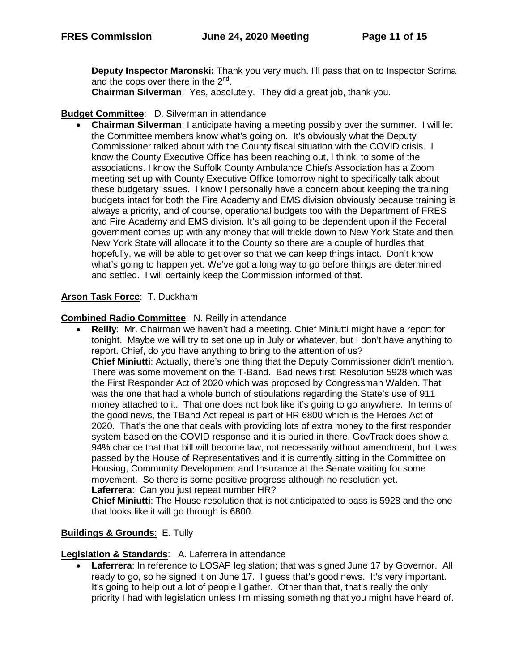**Deputy Inspector Maronski:** Thank you very much. I'll pass that on to Inspector Scrima and the cops over there in the  $2^{nd}$ .

**Chairman Silverman**: Yes, absolutely. They did a great job, thank you.

## **Budget Committee**: D. Silverman in attendance

• **Chairman Silverman**: I anticipate having a meeting possibly over the summer. I will let the Committee members know what's going on. It's obviously what the Deputy Commissioner talked about with the County fiscal situation with the COVID crisis. I know the County Executive Office has been reaching out, I think, to some of the associations. I know the Suffolk County Ambulance Chiefs Association has a Zoom meeting set up with County Executive Office tomorrow night to specifically talk about these budgetary issues. I know I personally have a concern about keeping the training budgets intact for both the Fire Academy and EMS division obviously because training is always a priority, and of course, operational budgets too with the Department of FRES and Fire Academy and EMS division. It's all going to be dependent upon if the Federal government comes up with any money that will trickle down to New York State and then New York State will allocate it to the County so there are a couple of hurdles that hopefully, we will be able to get over so that we can keep things intact. Don't know what's going to happen yet. We've got a long way to go before things are determined and settled. I will certainly keep the Commission informed of that.

## **Arson Task Force**: T. Duckham

## **Combined Radio Committee**: N. Reilly in attendance

• **Reilly**: Mr. Chairman we haven't had a meeting. Chief Miniutti might have a report for tonight. Maybe we will try to set one up in July or whatever, but I don't have anything to report. Chief, do you have anything to bring to the attention of us? **Chief Miniutti**: Actually, there's one thing that the Deputy Commissioner didn't mention. There was some movement on the T-Band. Bad news first; Resolution 5928 which was the First Responder Act of 2020 which was proposed by Congressman Walden. That was the one that had a whole bunch of stipulations regarding the State's use of 911 money attached to it. That one does not look like it's going to go anywhere. In terms of the good news, the TBand Act repeal is part of HR 6800 which is the Heroes Act of 2020. That's the one that deals with providing lots of extra money to the first responder system based on the COVID response and it is buried in there. GovTrack does show a 94% chance that that bill will become law, not necessarily without amendment, but it was passed by the House of Representatives and it is currently sitting in the Committee on Housing, Community Development and Insurance at the Senate waiting for some movement. So there is some positive progress although no resolution yet. **Laferrera**: Can you just repeat number HR?

**Chief Miniutti**: The House resolution that is not anticipated to pass is 5928 and the one that looks like it will go through is 6800.

## **Buildings & Grounds**: E. Tully

#### **Legislation & Standards**: A. Laferrera in attendance

**Laferrera:** In reference to LOSAP legislation: that was signed June 17 by Governor. All ready to go, so he signed it on June 17. I guess that's good news. It's very important. It's going to help out a lot of people I gather. Other than that, that's really the only priority I had with legislation unless I'm missing something that you might have heard of.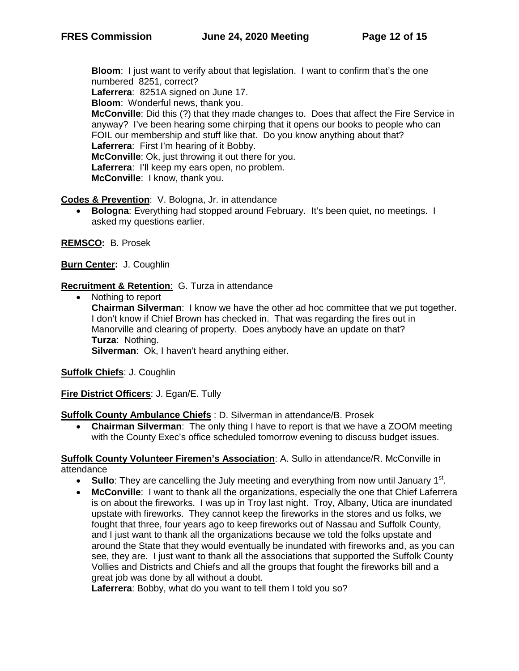**Bloom**: I just want to verify about that legislation. I want to confirm that's the one numbered 8251, correct?

**Laferrera**: 8251A signed on June 17.

**Bloom**: Wonderful news, thank you.

**McConville**: Did this (?) that they made changes to. Does that affect the Fire Service in anyway? I've been hearing some chirping that it opens our books to people who can FOIL our membership and stuff like that. Do you know anything about that? **Laferrera**: First I'm hearing of it Bobby. **McConville**: Ok, just throwing it out there for you. **Laferrera**: I'll keep my ears open, no problem. **McConville**: I know, thank you.

**Codes & Prevention**: V. Bologna, Jr. in attendance

• **Bologna**: Everything had stopped around February. It's been quiet, no meetings. I asked my questions earlier.

**REMSCO:** B. Prosek

**Burn Center:** J. Coughlin

**Recruitment & Retention**: G. Turza in attendance

• Nothing to report **Chairman Silverman**: I know we have the other ad hoc committee that we put together. I don't know if Chief Brown has checked in. That was regarding the fires out in Manorville and clearing of property. Does anybody have an update on that? **Turza**: Nothing. **Silverman**: Ok, I haven't heard anything either.

**Suffolk Chiefs**: J. Coughlin

**Fire District Officers**: J. Egan/E. Tully

**Suffolk County Ambulance Chiefs** : D. Silverman in attendance/B. Prosek

• **Chairman Silverman**: The only thing I have to report is that we have a ZOOM meeting with the County Exec's office scheduled tomorrow evening to discuss budget issues.

**Suffolk County Volunteer Firemen's Association**: A. Sullo in attendance/R. McConville in attendance

- **Sullo**: They are cancelling the July meeting and everything from now until January 1<sup>st</sup>.
- **McConville**: I want to thank all the organizations, especially the one that Chief Laferrera is on about the fireworks. I was up in Troy last night. Troy, Albany, Utica are inundated upstate with fireworks. They cannot keep the fireworks in the stores and us folks, we fought that three, four years ago to keep fireworks out of Nassau and Suffolk County, and I just want to thank all the organizations because we told the folks upstate and around the State that they would eventually be inundated with fireworks and, as you can see, they are. I just want to thank all the associations that supported the Suffolk County Vollies and Districts and Chiefs and all the groups that fought the fireworks bill and a great job was done by all without a doubt.

**Laferrera**: Bobby, what do you want to tell them I told you so?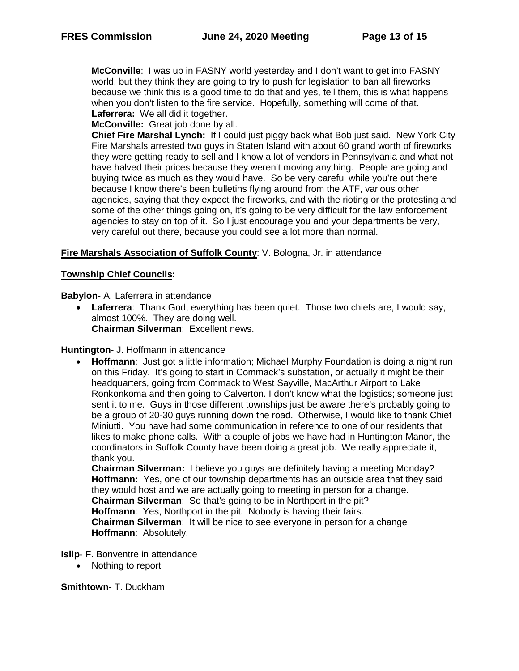**McConville**: I was up in FASNY world yesterday and I don't want to get into FASNY world, but they think they are going to try to push for legislation to ban all fireworks because we think this is a good time to do that and yes, tell them, this is what happens when you don't listen to the fire service. Hopefully, something will come of that. **Laferrera:** We all did it together.

**McConville:** Great job done by all.

**Chief Fire Marshal Lynch:** If I could just piggy back what Bob just said. New York City Fire Marshals arrested two guys in Staten Island with about 60 grand worth of fireworks they were getting ready to sell and I know a lot of vendors in Pennsylvania and what not have halved their prices because they weren't moving anything. People are going and buying twice as much as they would have. So be very careful while you're out there because I know there's been bulletins flying around from the ATF, various other agencies, saying that they expect the fireworks, and with the rioting or the protesting and some of the other things going on, it's going to be very difficult for the law enforcement agencies to stay on top of it. So I just encourage you and your departments be very, very careful out there, because you could see a lot more than normal.

#### **Fire Marshals Association of Suffolk County**: V. Bologna, Jr. in attendance

#### **Township Chief Councils:**

**Babylon**- A. Laferrera in attendance

• **Laferrera**: Thank God, everything has been quiet. Those two chiefs are, I would say, almost 100%. They are doing well. **Chairman Silverman**: Excellent news.

**Huntington**- J. Hoffmann in attendance

• **Hoffmann**: Just got a little information; Michael Murphy Foundation is doing a night run on this Friday. It's going to start in Commack's substation, or actually it might be their headquarters, going from Commack to West Sayville, MacArthur Airport to Lake Ronkonkoma and then going to Calverton. I don't know what the logistics; someone just sent it to me. Guys in those different townships just be aware there's probably going to be a group of 20-30 guys running down the road. Otherwise, I would like to thank Chief Miniutti. You have had some communication in reference to one of our residents that likes to make phone calls. With a couple of jobs we have had in Huntington Manor, the coordinators in Suffolk County have been doing a great job. We really appreciate it, thank you.

**Chairman Silverman:** I believe you guys are definitely having a meeting Monday? **Hoffmann:** Yes, one of our township departments has an outside area that they said they would host and we are actually going to meeting in person for a change. **Chairman Silverman**: So that's going to be in Northport in the pit? **Hoffmann**: Yes, Northport in the pit. Nobody is having their fairs. **Chairman Silverman**: It will be nice to see everyone in person for a change **Hoffmann**: Absolutely.

**Islip**- F. Bonventre in attendance

• Nothing to report

**Smithtown**- T. Duckham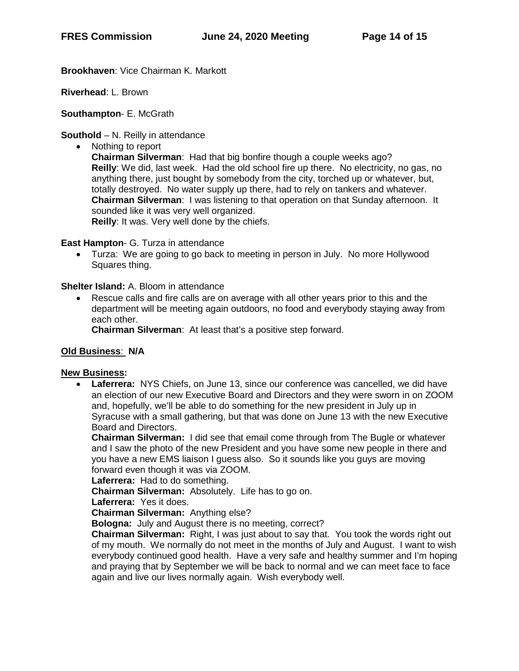**Brookhaven**: Vice Chairman K. Markott

**Riverhead**: L. Brown

**Southampton**- E. McGrath

**Southold** – N. Reilly in attendance

• Nothing to report

**Chairman Silverman**: Had that big bonfire though a couple weeks ago? **Reilly**: We did, last week. Had the old school fire up there. No electricity, no gas, no anything there, just bought by somebody from the city, torched up or whatever, but, totally destroyed. No water supply up there, had to rely on tankers and whatever. **Chairman Silverman**: I was listening to that operation on that Sunday afternoon. It sounded like it was very well organized.

**Reilly**: It was. Very well done by the chiefs.

#### **East Hampton**- G. Turza in attendance

• Turza: We are going to go back to meeting in person in July. No more Hollywood Squares thing.

#### **Shelter Island:** A. Bloom in attendance

• Rescue calls and fire calls are on average with all other years prior to this and the department will be meeting again outdoors, no food and everybody staying away from each other.

**Chairman Silverman**: At least that's a positive step forward.

## **Old Business**: **N/A**

#### **New Business:**

• **Laferrera:** NYS Chiefs, on June 13, since our conference was cancelled, we did have an election of our new Executive Board and Directors and they were sworn in on ZOOM and, hopefully, we'll be able to do something for the new president in July up in Syracuse with a small gathering, but that was done on June 13 with the new Executive Board and Directors.

**Chairman Silverman:** I did see that email come through from The Bugle or whatever and I saw the photo of the new President and you have some new people in there and you have a new EMS liaison I guess also. So it sounds like you guys are moving forward even though it was via ZOOM.

**Laferrera:** Had to do something.

**Chairman Silverman:** Absolutely. Life has to go on.

**Laferrera:** Yes it does.

**Chairman Silverman:** Anything else?

**Bologna:** July and August there is no meeting, correct?

**Chairman Silverman:** Right, I was just about to say that. You took the words right out of my mouth. We normally do not meet in the months of July and August. I want to wish everybody continued good health. Have a very safe and healthy summer and I'm hoping and praying that by September we will be back to normal and we can meet face to face again and live our lives normally again. Wish everybody well.